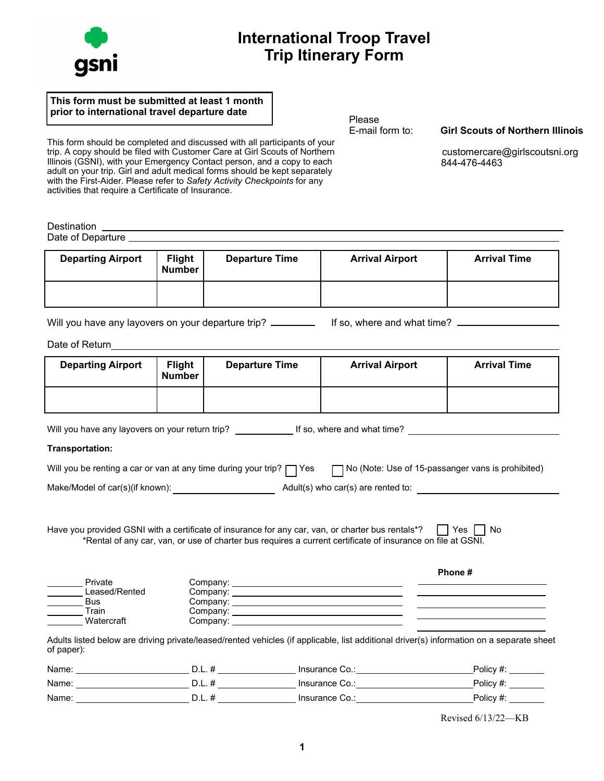## **International Troop Travel Trip Itinerary Form**

## **This form must be submitted at least 1 month prior to international travel departure date** Please<br>
E-mail form to:

This form should be completed and discussed with all participants of your trip. A copy should be filed with Customer Care at Girl Scouts of Northern Illinois (GSNI), with your Emergency Contact person, and a copy to each adult on your trip. Girl and adult medical forms should be kept separately with the First-Aider. Please refer to *Safety Activity Checkpoints* for any activities that require a Certificate of Insurance.

Destination \_ Date of Departure

| <b>Departing Airport</b> | <b>Flight</b><br>Number | <b>Departure Time</b> | <b>Arrival Airport</b> | <b>Arrival Time</b> |  |
|--------------------------|-------------------------|-----------------------|------------------------|---------------------|--|
|                          |                         |                       |                        |                     |  |

Will you have any layovers on your departure trip? If so, where and what time?

Date of Return

| <b>Departing Airport</b>                                                                                                                                                                                 | <b>Flight</b><br><b>Number</b> | <b>Departure Time</b>                                                                             | <b>Arrival Airport</b>                                                                                      | <b>Arrival Time</b> |  |  |  |  |
|----------------------------------------------------------------------------------------------------------------------------------------------------------------------------------------------------------|--------------------------------|---------------------------------------------------------------------------------------------------|-------------------------------------------------------------------------------------------------------------|---------------------|--|--|--|--|
|                                                                                                                                                                                                          |                                |                                                                                                   |                                                                                                             |                     |  |  |  |  |
|                                                                                                                                                                                                          |                                |                                                                                                   | Will you have any layovers on your return trip? ______________ If so, where and what time? _________        |                     |  |  |  |  |
| Transportation:                                                                                                                                                                                          |                                |                                                                                                   |                                                                                                             |                     |  |  |  |  |
|                                                                                                                                                                                                          |                                | Will you be renting a car or van at any time during your trip? $\Box$ Yes                         | No (Note: Use of 15-passanger vans is prohibited)                                                           |                     |  |  |  |  |
| Make/Model of car(s)(if known):                                                                                                                                                                          |                                |                                                                                                   | Adult(s) who car(s) are rented to:                                                                          |                     |  |  |  |  |
|                                                                                                                                                                                                          |                                | Have you provided GSNI with a certificate of insurance for any car, van, or charter bus rentals*? | *Rental of any car, van, or use of charter bus requires a current certificate of insurance on file at GSNI. | No.<br>Yes          |  |  |  |  |
| Phone#<br>Private<br>Leased/Rented<br>the control of the control of the control of the control of the control of<br>Bus<br>Train<br><u> 1980 - Jan Barnett, fransk politiker (d. 1980)</u><br>Watercraft |                                |                                                                                                   |                                                                                                             |                     |  |  |  |  |
| Adults listed below are driving private/leased/rented vehicles (if applicable, list additional driver(s) information on a separate sheet<br>of paper):                                                   |                                |                                                                                                   |                                                                                                             |                     |  |  |  |  |

| Name: | ◡.<br>-- | Insurance Co.: | Policy    |
|-------|----------|----------------|-----------|
| Name: | υ.       | Insurance Co.: | Policy #. |
| Name: | ◡.       | Insurance Co.: | Policy#   |

Revised 6/13/22—KB



**Girl Scouts of Northern Illinois** 

 [customercare@girlscoutsni.org](mailto:customercare@girlscoutsni.org) 844-476-4463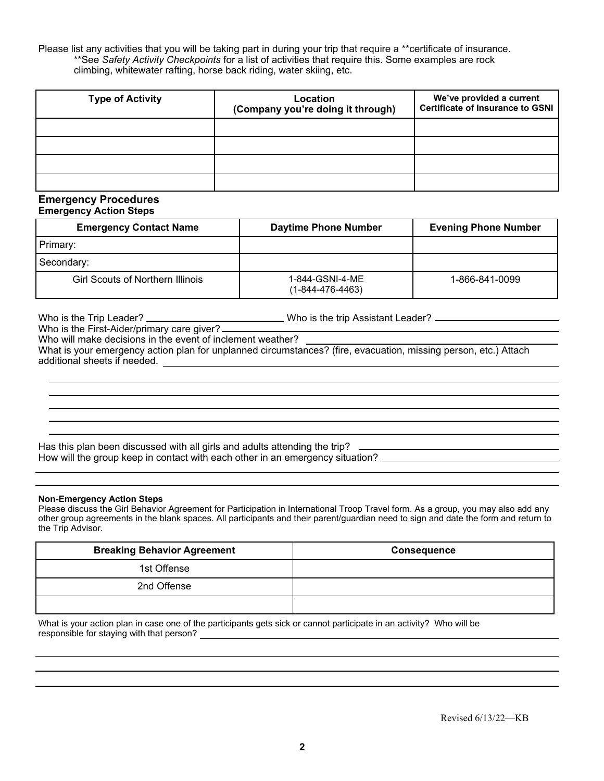Please list any activities that you will be taking part in during your trip that require a \*\*certificate of insurance. \*\*See *Safety Activity Checkpoints* for a list of activities that require this. Some examples are rock climbing, whitewater rafting, horse back riding, water skiing, etc.

| <b>Type of Activity</b> | Location<br>(Company you're doing it through) | We've provided a current<br>Certificate of Insurance to GSNI |
|-------------------------|-----------------------------------------------|--------------------------------------------------------------|
|                         |                                               |                                                              |
|                         |                                               |                                                              |
|                         |                                               |                                                              |
|                         |                                               |                                                              |

#### **Emergency Procedures Emergency Action Steps**

| <b>Emergency Contact Name</b>           | <b>Daytime Phone Number</b>         | <b>Evening Phone Number</b> |  |
|-----------------------------------------|-------------------------------------|-----------------------------|--|
| Primary:                                |                                     |                             |  |
| Secondary:                              |                                     |                             |  |
| <b>Girl Scouts of Northern Illinois</b> | 1-844-GSNI-4-ME<br>(1-844-476-4463) | 1-866-841-0099              |  |

Who is the Trip Leader? \_\_\_\_\_\_\_\_\_\_\_\_\_\_\_\_\_\_\_\_\_\_\_\_\_\_\_\_\_Who is the trip Assistant Leader? Who is the First-Aider/primary care giver? Who will make decisions in the event of inclement weather? What is your emergency action plan for unplanned circumstances? (fire, evacuation, missing person, etc.) Attach

additional sheets if needed.

Has this plan been discussed with all girls and adults attending the trip? \_\_\_\_\_ How will the group keep in contact with each other in an emergency situation? \_\_\_\_\_\_\_\_\_\_\_\_\_\_\_\_\_\_\_\_\_\_\_\_\_\_\_\_\_\_\_\_

### **Non-Emergency Action Steps**

Please discuss the Girl Behavior Agreement for Participation in International Troop Travel form. As a group, you may also add any other group agreements in the blank spaces. All participants and their parent/guardian need to sign and date the form and return to the Trip Advisor.

| <b>Breaking Behavior Agreement</b> | <b>Consequence</b> |
|------------------------------------|--------------------|
| 1st Offense                        |                    |
| 2nd Offense                        |                    |
|                                    |                    |

What is your action plan in case one of the participants gets sick or cannot participate in an activity? Who will be responsible for staying with that person?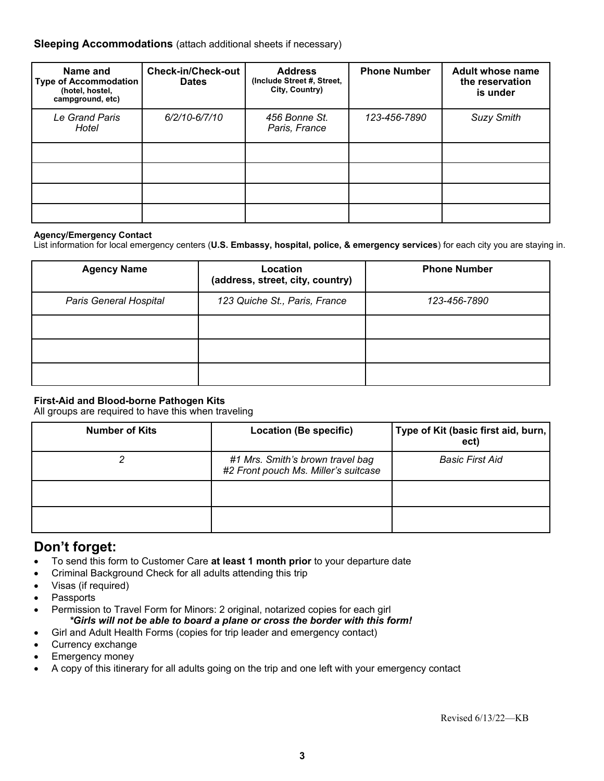## **Sleeping Accommodations** (attach additional sheets if necessary)

| Name and<br><b>Type of Accommodation</b><br>(hotel, hostel,<br>campground, etc) | <b>Check-in/Check-out</b><br><b>Dates</b> | <b>Address</b><br>(Include Street #, Street,<br>City, Country) | <b>Phone Number</b> | <b>Adult whose name</b><br>the reservation<br>is under |
|---------------------------------------------------------------------------------|-------------------------------------------|----------------------------------------------------------------|---------------------|--------------------------------------------------------|
| Le Grand Paris<br>Hotel                                                         | $6/2/10 - 6/7/10$                         | 456 Bonne St.<br>Paris, France                                 | 123-456-7890        | <b>Suzy Smith</b>                                      |
|                                                                                 |                                           |                                                                |                     |                                                        |
|                                                                                 |                                           |                                                                |                     |                                                        |
|                                                                                 |                                           |                                                                |                     |                                                        |
|                                                                                 |                                           |                                                                |                     |                                                        |

#### **Agency/Emergency Contact**

List information for local emergency centers (**U.S. Embassy, hospital, police, & emergency services**) for each city you are staying in.

| <b>Agency Name</b>            | Location<br>(address, street, city, country) |              |
|-------------------------------|----------------------------------------------|--------------|
| <b>Paris General Hospital</b> | 123 Quiche St., Paris, France                | 123-456-7890 |
|                               |                                              |              |
|                               |                                              |              |
|                               |                                              |              |

## **First-Aid and Blood-borne Pathogen Kits**

All groups are required to have this when traveling

| <b>Number of Kits</b> | Location (Be specific)                                                   | Type of Kit (basic first aid, burn,<br>ect) |  |  |
|-----------------------|--------------------------------------------------------------------------|---------------------------------------------|--|--|
|                       | #1 Mrs. Smith's brown travel bag<br>#2 Front pouch Ms. Miller's suitcase | <b>Basic First Aid</b>                      |  |  |
|                       |                                                                          |                                             |  |  |
|                       |                                                                          |                                             |  |  |

## **Don't forget:**

- To send this form to Customer Care **at least 1 month prior** to your departure date
- Criminal Background Check for all adults attending this trip
- Visas (if required)
- **Passports**
- Permission to Travel Form for Minors: 2 original, notarized copies for each girl *\*Girls will not be able to board a plane or cross the border with this form!*
- Girl and Adult Health Forms (copies for trip leader and emergency contact)
- Currency exchange
- Emergency money
- A copy of this itinerary for all adults going on the trip and one left with your emergency contact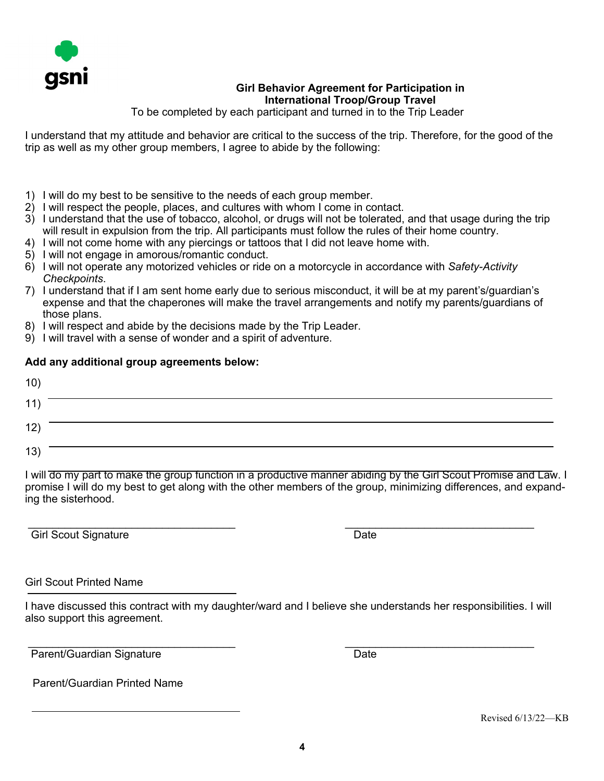

## **Girl Behavior Agreement for Participation in International Troop/Group Travel**

To be completed by each participant and turned in to the Trip Leader

I understand that my attitude and behavior are critical to the success of the trip. Therefore, for the good of the trip as well as my other group members, I agree to abide by the following:

- 1) I will do my best to be sensitive to the needs of each group member.
- 2) I will respect the people, places, and cultures with whom I come in contact.
- 3) I understand that the use of tobacco, alcohol, or drugs will not be tolerated, and that usage during the trip will result in expulsion from the trip. All participants must follow the rules of their home country.
- 4) I will not come home with any piercings or tattoos that I did not leave home with.
- 5) I will not engage in amorous/romantic conduct.
- 6) I will not operate any motorized vehicles or ride on a motorcycle in accordance with *Safety-Activity Checkpoints*.
- 7) I understand that if I am sent home early due to serious misconduct, it will be at my parent's/guardian's expense and that the chaperones will make the travel arrangements and notify my parents/guardians of those plans.
- 8) I will respect and abide by the decisions made by the Trip Leader.
- 9) I will travel with a sense of wonder and a spirit of adventure.

## **Add any additional group agreements below:**

| 10)               |  |
|-------------------|--|
| $\sim 100$<br>11) |  |
| 12)               |  |
| 13)               |  |

I will do my part to make the group function in a productive manner abiding by the Girl Scout Promise and Law. I promise I will do my best to get along with the other members of the group, minimizing differences, and expanding the sisterhood.

 $\mathcal{L}_\text{max}$  , and the contract of the contract of the contract of the contract of the contract of the contract of the contract of the contract of the contract of the contract of the contract of the contract of the contr Girl Scout Signature Date

## Girl Scout Printed Name

I have discussed this contract with my daughter/ward and I believe she understands her responsibilities. I will also support this agreement.

 $\mathcal{L}_\text{max}$  , and the contract of the contract of the contract of the contract of the contract of the contract of the contract of the contract of the contract of the contract of the contract of the contract of the contr Parent/Guardian Signature Date

Parent/Guardian Printed Name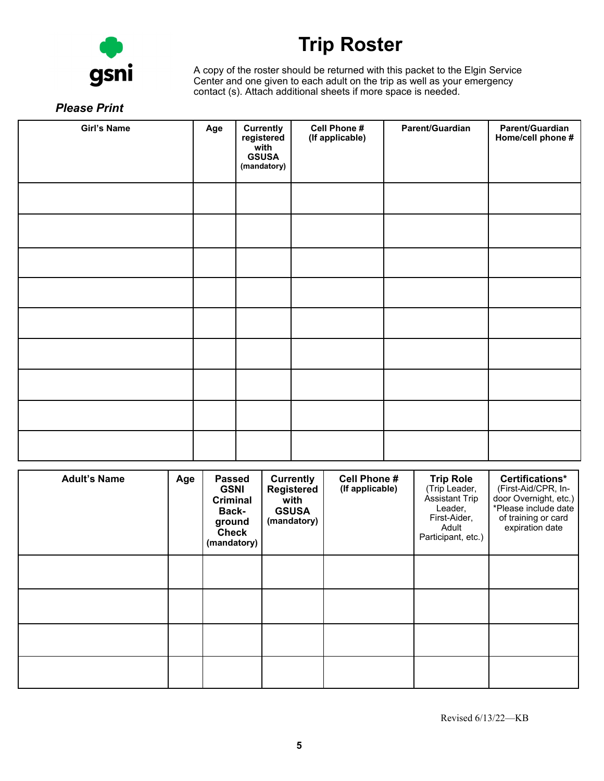

# **Trip Roster**

A copy of the roster should be returned with this packet to the Elgin Service Center and one given to each adult on the trip as well as your emergency contact (s). Attach additional sheets if more space is needed.

## *Please Print*

| <b>Girl's Name</b> | Age | <b>Currently</b><br>registered<br>with<br><b>GSUSA</b><br>(mandatory) | Cell Phone #<br>(If applicable) | Parent/Guardian | Parent/Guardian<br>Home/cell phone # |
|--------------------|-----|-----------------------------------------------------------------------|---------------------------------|-----------------|--------------------------------------|
|                    |     |                                                                       |                                 |                 |                                      |
|                    |     |                                                                       |                                 |                 |                                      |
|                    |     |                                                                       |                                 |                 |                                      |
|                    |     |                                                                       |                                 |                 |                                      |
|                    |     |                                                                       |                                 |                 |                                      |
|                    |     |                                                                       |                                 |                 |                                      |
|                    |     |                                                                       |                                 |                 |                                      |
|                    |     |                                                                       |                                 |                 |                                      |
|                    |     |                                                                       |                                 |                 |                                      |

| <b>Adult's Name</b> | Age | <b>Passed</b><br><b>GSNI</b><br><b>Criminal</b><br><b>Back-</b><br>ground<br><b>Check</b><br>(mandatory) | Currently<br><b>Registered</b><br>with<br><b>GSUSA</b><br>(mandatory) | <b>Cell Phone #</b><br>(If applicable) | <b>Trip Role</b><br>(Trip Leader,<br><b>Assistant Trip</b><br>Leader,<br>First-Aider,<br>Adult<br>Participant, etc.) | Certifications*<br>(First-Aid/CPR, In-<br>door Overnight, etc.)<br>*Please include date<br>of training or card<br>expiration date |
|---------------------|-----|----------------------------------------------------------------------------------------------------------|-----------------------------------------------------------------------|----------------------------------------|----------------------------------------------------------------------------------------------------------------------|-----------------------------------------------------------------------------------------------------------------------------------|
|                     |     |                                                                                                          |                                                                       |                                        |                                                                                                                      |                                                                                                                                   |
|                     |     |                                                                                                          |                                                                       |                                        |                                                                                                                      |                                                                                                                                   |
|                     |     |                                                                                                          |                                                                       |                                        |                                                                                                                      |                                                                                                                                   |
|                     |     |                                                                                                          |                                                                       |                                        |                                                                                                                      |                                                                                                                                   |